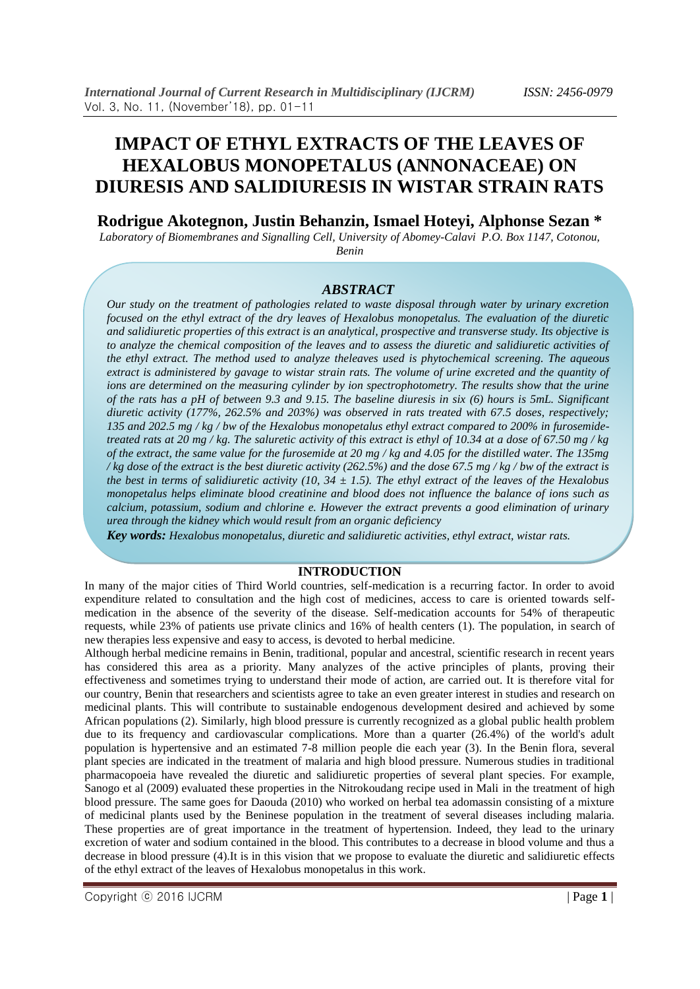# **IMPACT OF ETHYL EXTRACTS OF THE LEAVES OF HEXALOBUS MONOPETALUS (ANNONACEAE) ON DIURESIS AND SALIDIURESIS IN WISTAR STRAIN RATS**

# **Rodrigue Akotegnon, Justin Behanzin, Ismael Hoteyi, Alphonse Sezan \***

*Laboratory of Biomembranes and Signalling Cell, University of Abomey-Calavi P.O. Box 1147, Cotonou, Benin*

### *ABSTRACT*

*Our study on the treatment of pathologies related to waste disposal through water by urinary excretion focused on the ethyl extract of the dry leaves of Hexalobus monopetalus. The evaluation of the diuretic and salidiuretic properties of this extract is an analytical, prospective and transverse study. Its objective is to analyze the chemical composition of the leaves and to assess the diuretic and salidiuretic activities of the ethyl extract. The method used to analyze theleaves used is phytochemical screening. The aqueous extract is administered by gavage to wistar strain rats. The volume of urine excreted and the quantity of ions are determined on the measuring cylinder by ion spectrophotometry. The results show that the urine of the rats has a pH of between 9.3 and 9.15. The baseline diuresis in six (6) hours is 5mL. Significant diuretic activity (177%, 262.5% and 203%) was observed in rats treated with 67.5 doses, respectively; 135 and 202.5 mg / kg / bw of the Hexalobus monopetalus ethyl extract compared to 200% in furosemidetreated rats at 20 mg / kg. The saluretic activity of this extract is ethyl of 10.34 at a dose of 67.50 mg / kg of the extract, the same value for the furosemide at 20 mg / kg and 4.05 for the distilled water. The 135mg / kg dose of the extract is the best diuretic activity (262.5%) and the dose 67.5 mg / kg / bw of the extract is the best in terms of salidiuretic activity (10, 34 ± 1.5). The ethyl extract of the leaves of the Hexalobus monopetalus helps eliminate blood creatinine and blood does not influence the balance of ions such as calcium, potassium, sodium and chlorine e. However the extract prevents a good elimination of urinary urea through the kidney which would result from an organic deficiency*

*Key words: Hexalobus monopetalus, diuretic and salidiuretic activities, ethyl extract, wistar rats.*

#### **INTRODUCTION**

In many of the major cities of Third World countries, self-medication is a recurring factor. In order to avoid expenditure related to consultation and the high cost of medicines, access to care is oriented towards selfmedication in the absence of the severity of the disease. Self-medication accounts for 54% of therapeutic requests, while 23% of patients use private clinics and 16% of health centers (1). The population, in search of new therapies less expensive and easy to access, is devoted to herbal medicine.

Although herbal medicine remains in Benin, traditional, popular and ancestral, scientific research in recent years has considered this area as a priority. Many analyzes of the active principles of plants, proving their effectiveness and sometimes trying to understand their mode of action, are carried out. It is therefore vital for our country, Benin that researchers and scientists agree to take an even greater interest in studies and research on medicinal plants. This will contribute to sustainable endogenous development desired and achieved by some African populations (2). Similarly, high blood pressure is currently recognized as a global public health problem due to its frequency and cardiovascular complications. More than a quarter (26.4%) of the world's adult population is hypertensive and an estimated 7-8 million people die each year (3). In the Benin flora, several plant species are indicated in the treatment of malaria and high blood pressure. Numerous studies in traditional pharmacopoeia have revealed the diuretic and salidiuretic properties of several plant species. For example, Sanogo et al (2009) evaluated these properties in the Nitrokoudang recipe used in Mali in the treatment of high blood pressure. The same goes for Daouda (2010) who worked on herbal tea adomassin consisting of a mixture of medicinal plants used by the Beninese population in the treatment of several diseases including malaria. These properties are of great importance in the treatment of hypertension. Indeed, they lead to the urinary excretion of water and sodium contained in the blood. This contributes to a decrease in blood volume and thus a decrease in blood pressure (4).It is in this vision that we propose to evaluate the diuretic and salidiuretic effects of the ethyl extract of the leaves of Hexalobus monopetalus in this work.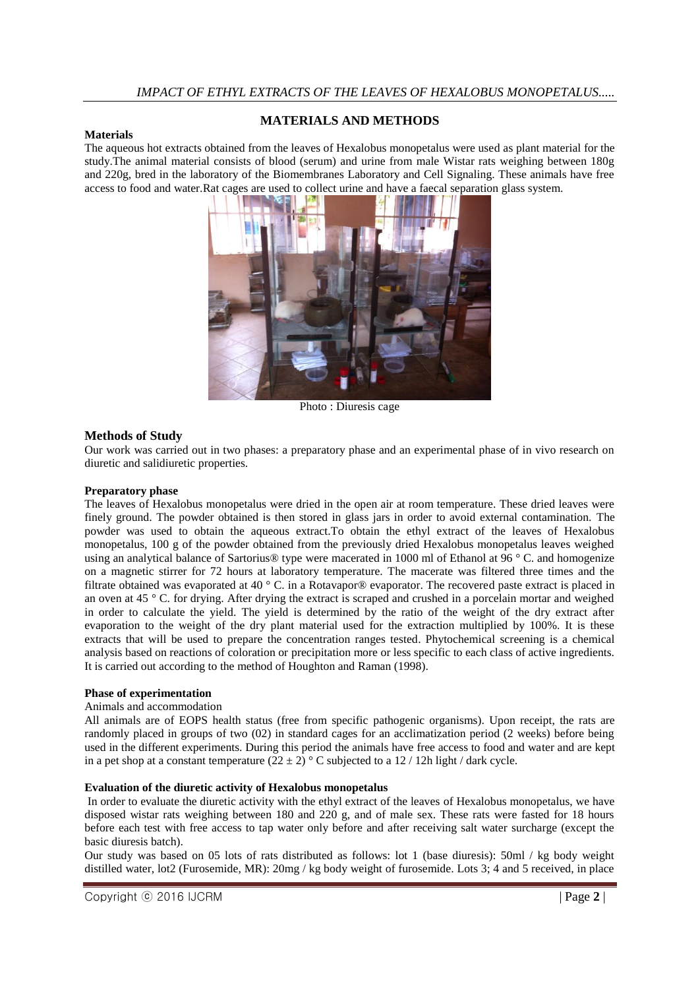### **Materials**

# **MATERIALS AND METHODS**

The aqueous hot extracts obtained from the leaves of Hexalobus monopetalus were used as plant material for the study.The animal material consists of blood (serum) and urine from male Wistar rats weighing between 180g and 220g, bred in the laboratory of the Biomembranes Laboratory and Cell Signaling. These animals have free access to food and water.Rat cages are used to collect urine and have a faecal separation glass system.



Photo : Diuresis cage

# **Methods of Study**

Our work was carried out in two phases: a preparatory phase and an experimental phase of in vivo research on diuretic and salidiuretic properties.

#### **Preparatory phase**

The leaves of Hexalobus monopetalus were dried in the open air at room temperature. These dried leaves were finely ground. The powder obtained is then stored in glass jars in order to avoid external contamination. The powder was used to obtain the aqueous extract.To obtain the ethyl extract of the leaves of Hexalobus monopetalus, 100 g of the powder obtained from the previously dried Hexalobus monopetalus leaves weighed using an analytical balance of Sartorius® type were macerated in 1000 ml of Ethanol at 96 ° C. and homogenize on a magnetic stirrer for 72 hours at laboratory temperature. The macerate was filtered three times and the filtrate obtained was evaporated at 40 ° C. in a Rotavapor® evaporator. The recovered paste extract is placed in an oven at  $45^\circ$  C. for drying. After drying the extract is scraped and crushed in a porcelain mortar and weighed in order to calculate the yield. The yield is determined by the ratio of the weight of the dry extract after evaporation to the weight of the dry plant material used for the extraction multiplied by 100%. It is these extracts that will be used to prepare the concentration ranges tested. Phytochemical screening is a chemical analysis based on reactions of coloration or precipitation more or less specific to each class of active ingredients. It is carried out according to the method of Houghton and Raman (1998).

#### **Phase of experimentation**

#### Animals and accommodation

All animals are of EOPS health status (free from specific pathogenic organisms). Upon receipt, the rats are randomly placed in groups of two (02) in standard cages for an acclimatization period (2 weeks) before being used in the different experiments. During this period the animals have free access to food and water and are kept in a pet shop at a constant temperature  $(22 \pm 2)$  ° C subjected to a 12 / 12h light / dark cycle.

#### **Evaluation of the diuretic activity of Hexalobus monopetalus**

In order to evaluate the diuretic activity with the ethyl extract of the leaves of Hexalobus monopetalus, we have disposed wistar rats weighing between 180 and 220 g, and of male sex. These rats were fasted for 18 hours before each test with free access to tap water only before and after receiving salt water surcharge (except the basic diuresis batch).

Our study was based on 05 lots of rats distributed as follows: lot 1 (base diuresis): 50ml / kg body weight distilled water, lot2 (Furosemide, MR): 20mg / kg body weight of furosemide. Lots 3; 4 and 5 received, in place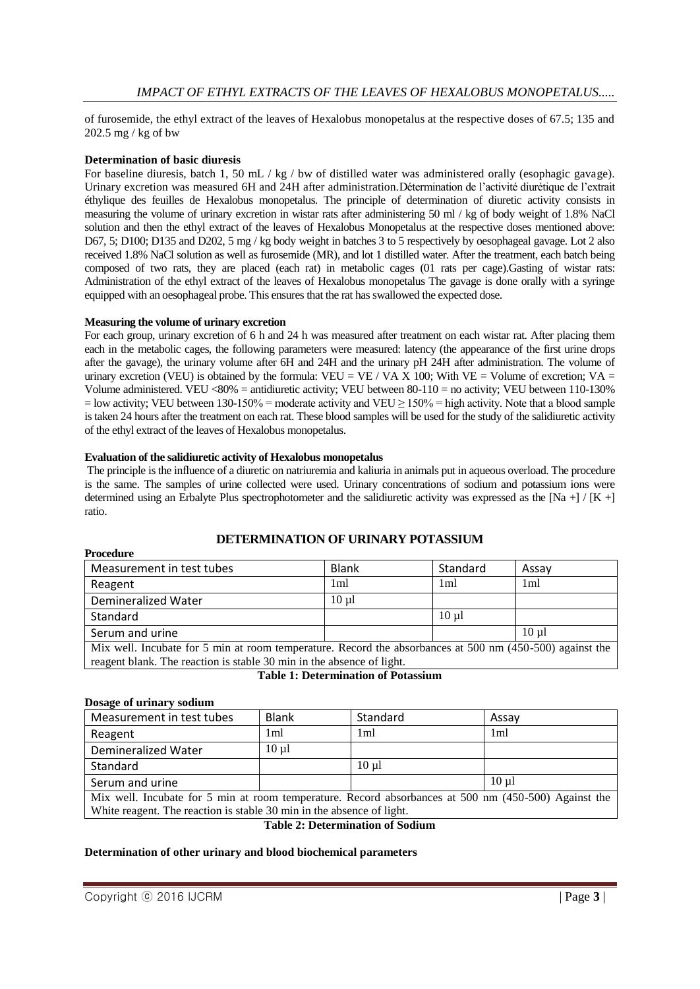of furosemide, the ethyl extract of the leaves of Hexalobus monopetalus at the respective doses of 67.5; 135 and 202.5 mg / kg of bw

### **Determination of basic diuresis**

For baseline diuresis, batch 1, 50 mL / kg / bw of distilled water was administered orally (esophagic gavage). Urinary excretion was measured 6H and 24H after administration.Détermination de l'activité diurétique de l'extrait éthylique des feuilles de Hexalobus monopetalus. The principle of determination of diuretic activity consists in measuring the volume of urinary excretion in wistar rats after administering 50 ml / kg of body weight of 1.8% NaCl solution and then the ethyl extract of the leaves of Hexalobus Monopetalus at the respective doses mentioned above: D67, 5; D100; D135 and D202, 5 mg / kg body weight in batches 3 to 5 respectively by oesophageal gavage. Lot 2 also received 1.8% NaCl solution as well as furosemide (MR), and lot 1 distilled water. After the treatment, each batch being composed of two rats, they are placed (each rat) in metabolic cages (01 rats per cage).Gasting of wistar rats: Administration of the ethyl extract of the leaves of Hexalobus monopetalus The gavage is done orally with a syringe equipped with an oesophageal probe. This ensures that the rat has swallowed the expected dose.

#### **Measuring the volume of urinary excretion**

For each group, urinary excretion of 6 h and 24 h was measured after treatment on each wistar rat. After placing them each in the metabolic cages, the following parameters were measured: latency (the appearance of the first urine drops after the gavage), the urinary volume after 6H and 24H and the urinary pH 24H after administration. The volume of urinary excretion (VEU) is obtained by the formula: VEU = VE / VA X 100; With VE = Volume of excretion; VA = Volume administered. VEU <80% = antidiuretic activity; VEU between 80-110 = no activity; VEU between 110-130%  $=$  low activity; VEU between 130-150% = moderate activity and VEU  $\geq$  150% = high activity. Note that a blood sample is taken 24 hours after the treatment on each rat. These blood samples will be used for the study of the salidiuretic activity of the ethyl extract of the leaves of Hexalobus monopetalus.

#### **Evaluation of the salidiuretic activity of Hexalobus monopetalus**

The principle is the influence of a diuretic on natriuremia and kaliuria in animals put in aqueous overload. The procedure is the same. The samples of urine collected were used. Urinary concentrations of sodium and potassium ions were determined using an Erbalyte Plus spectrophotometer and the salidiuretic activity was expressed as the [Na +] / [K +] ratio.

# **DETERMINATION OF URINARY POTASSIUM**

| Measurement in test tubes | <b>Blank</b>    | Standard        | Assav      |
|---------------------------|-----------------|-----------------|------------|
| Reagent                   | 1 <sub>ml</sub> | 1 <sub>ml</sub> | 1ml        |
| Demineralized Water       | $10 \text{ ul}$ |                 |            |
| Standard                  |                 | $10 \text{ ul}$ |            |
| Serum and urine           |                 |                 | $10 \mu$ l |

Mix well. Incubate for 5 min at room temperature. Record the absorbances at 500 nm (450-500) against the reagent blank. The reaction is stable 30 min in the absence of light.

|  | <b>Table 1: Determination of Potassium</b> |  |
|--|--------------------------------------------|--|
|--|--------------------------------------------|--|

#### **Dosage of urinary sodium**

**Procedure**

| Measurement in test tubes | <b>Blank</b> | Standard        | Assav           |
|---------------------------|--------------|-----------------|-----------------|
| Reagent                   | 1 ml         | 1ml             | 1 <sub>ml</sub> |
| Demineralized Water       | $10 \mu l$   |                 |                 |
| Standard                  |              | $10 \text{ ul}$ |                 |
| Serum and urine           |              |                 | $10 \text{ ul}$ |

Mix well. Incubate for 5 min at room temperature. Record absorbances at 500 nm (450-500) Against the White reagent. The reaction is stable 30 min in the absence of light.

# **Table 2: Determination of Sodium**

#### **Determination of other urinary and blood biochemical parameters**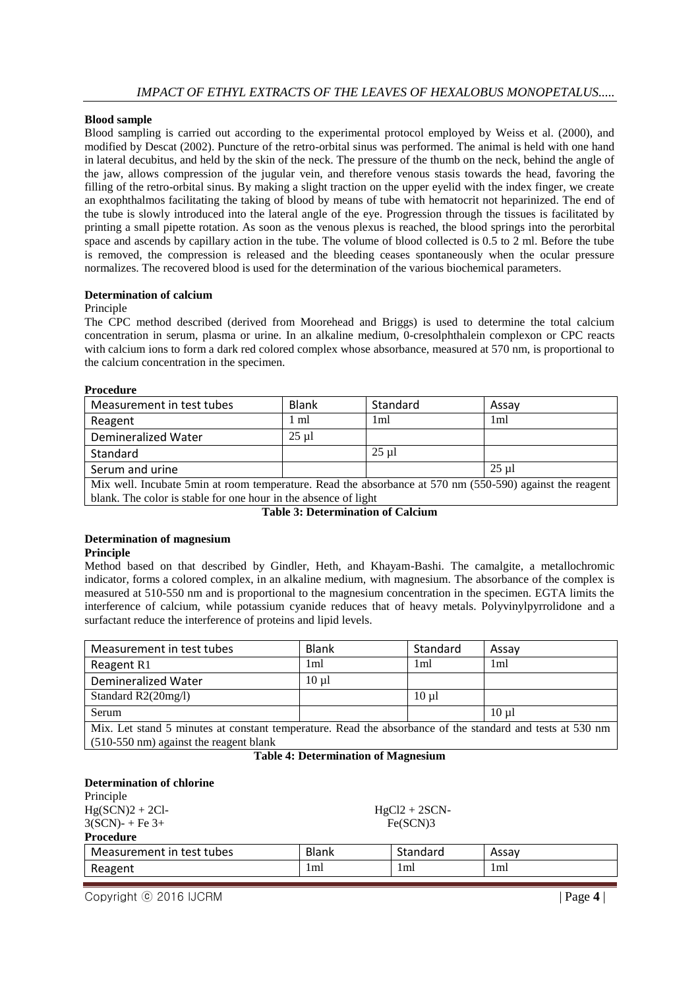#### **Blood sample**

Blood sampling is carried out according to the experimental protocol employed by Weiss et al. (2000), and modified by Descat (2002). Puncture of the retro-orbital sinus was performed. The animal is held with one hand in lateral decubitus, and held by the skin of the neck. The pressure of the thumb on the neck, behind the angle of the jaw, allows compression of the jugular vein, and therefore venous stasis towards the head, favoring the filling of the retro-orbital sinus. By making a slight traction on the upper eyelid with the index finger, we create an exophthalmos facilitating the taking of blood by means of tube with hematocrit not heparinized. The end of the tube is slowly introduced into the lateral angle of the eye. Progression through the tissues is facilitated by printing a small pipette rotation. As soon as the venous plexus is reached, the blood springs into the perorbital space and ascends by capillary action in the tube. The volume of blood collected is 0.5 to 2 ml. Before the tube is removed, the compression is released and the bleeding ceases spontaneously when the ocular pressure normalizes. The recovered blood is used for the determination of the various biochemical parameters.

#### **Determination of calcium**

#### Principle

The CPC method described (derived from Moorehead and Briggs) is used to determine the total calcium concentration in serum, plasma or urine. In an alkaline medium, 0-cresolphthalein complexon or CPC reacts with calcium ions to form a dark red colored complex whose absorbance, measured at 570 nm, is proportional to the calcium concentration in the specimen.

#### **Procedure**

| Measurement in test tubes                                                                                | <b>Blank</b>   | Standard   | Assay           |  |
|----------------------------------------------------------------------------------------------------------|----------------|------------|-----------------|--|
| Reagent                                                                                                  | $1 \text{ ml}$ | 1ml        | 1 <sub>m1</sub> |  |
| Demineralized Water                                                                                      | $25 \mu$ l     |            |                 |  |
| Standard                                                                                                 |                | $25 \mu$ l |                 |  |
| Serum and urine                                                                                          |                |            | 25 ul           |  |
| Mix well. Incubate 5min at room temperature. Read the absorbance at 570 nm (550-590) against the reagent |                |            |                 |  |
| blank. The color is stable for one hour in the absence of light                                          |                |            |                 |  |

**Table 3: Determination of Calcium**

# **Determination of magnesium**

#### **Principle**

Method based on that described by Gindler, Heth, and Khayam-Bashi. The camalgite, a metallochromic indicator, forms a colored complex, in an alkaline medium, with magnesium. The absorbance of the complex is measured at 510-550 nm and is proportional to the magnesium concentration in the specimen. EGTA limits the interference of calcium, while potassium cyanide reduces that of heavy metals. Polyvinylpyrrolidone and a surfactant reduce the interference of proteins and lipid levels.

| Measurement in test tubes                                                                                                                           | <b>Blank</b>    | Standard   | Assay           |  |
|-----------------------------------------------------------------------------------------------------------------------------------------------------|-----------------|------------|-----------------|--|
| Reagent R1                                                                                                                                          | 1 <sub>m1</sub> | 1ml        | 1 <sub>ml</sub> |  |
| <b>Demineralized Water</b>                                                                                                                          | $10 \mu l$      |            |                 |  |
| Standard R2(20mg/l)                                                                                                                                 |                 | $10 \mu l$ |                 |  |
| Serum                                                                                                                                               |                 |            | $10 \mu l$      |  |
| Mix. Let stand 5 minutes at constant temperature. Read the absorbance of the standard and tests at 530 nm<br>(510-550 nm) against the reagent blank |                 |            |                 |  |

#### **Table 4: Determination of Magnesium**

| <b>Determination of chlorine</b> |          |                 |       |  |
|----------------------------------|----------|-----------------|-------|--|
| Principle                        |          |                 |       |  |
| $Hg(SCN)2 + 2Cl$ -               |          | $HgCl2 + 2SCN-$ |       |  |
| $3(SCN) - Fe 3+$                 | Fe(SCN)3 |                 |       |  |
| <b>Procedure</b>                 |          |                 |       |  |
| Measurement in test tubes        | Blank    | Standard        | Assay |  |
| Reagent                          | 1ml      | 1ml             | 1ml   |  |
|                                  |          |                 |       |  |

Copyright ⓒ 2016 IJCRM | Page **4** |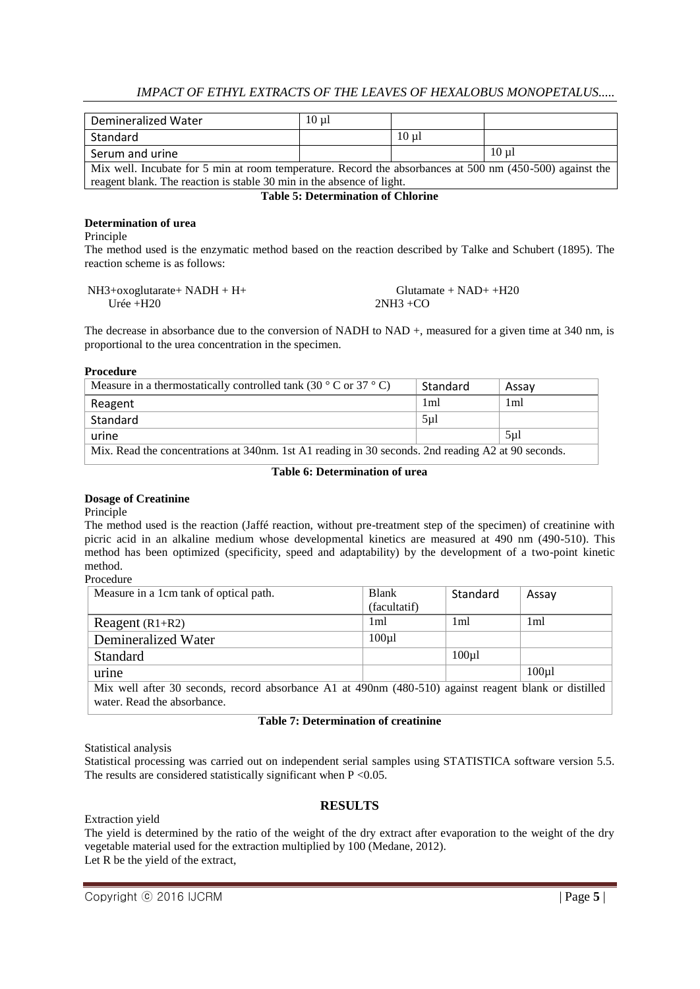| Demineralized Water                                                                                      | $10 \text{ ul}$ |            |                 |  |
|----------------------------------------------------------------------------------------------------------|-----------------|------------|-----------------|--|
| Standard                                                                                                 |                 | $10 \mu l$ |                 |  |
| Serum and urine                                                                                          |                 |            | $10 \text{ ul}$ |  |
| Mix well. Incubate for 5 min at room temperature. Record the absorbances at 500 nm (450-500) against the |                 |            |                 |  |
| reagent blank. The reaction is stable 30 min in the absence of light.                                    |                 |            |                 |  |

# **Table 5: Determination of Chlorine**

#### **Determination of urea**

Principle

The method used is the enzymatic method based on the reaction described by Talke and Schubert (1895). The reaction scheme is as follows:

| $NH3+oxoglutarate+ NADH + H+$ | Glutamate + $NAD++H20$ |
|-------------------------------|------------------------|
| Urée $+H20$                   | $2NH3 + CO$            |

The decrease in absorbance due to the conversion of NADH to NAD +, measured for a given time at 340 nm, is proportional to the urea concentration in the specimen.

**Procedure**

| Measure in a thermostatically controlled tank (30 $\degree$ C or 37 $\degree$ C)                   | Standard         | Assav           |
|----------------------------------------------------------------------------------------------------|------------------|-----------------|
| Reagent                                                                                            | 1ml              | 1 <sub>m1</sub> |
| Standard                                                                                           | 5 <sub>µ</sub> 1 |                 |
| urine                                                                                              |                  | 5 <sub>µ</sub>  |
| Mix. Read the concentrations at 340nm. 1st A1 reading in 30 seconds. 2nd reading A2 at 90 seconds. |                  |                 |

# **Table 6: Determination of urea**

#### **Dosage of Creatinine**

Principle

The method used is the reaction (Jaffé reaction, without pre-treatment step of the specimen) of creatinine with picric acid in an alkaline medium whose developmental kinetics are measured at 490 nm (490-510). This method has been optimized (specificity, speed and adaptability) by the development of a two-point kinetic method.

Procedure

| Measure in a 1cm tank of optical path.                                                                | <b>Blank</b>       | Standard           | Assay              |
|-------------------------------------------------------------------------------------------------------|--------------------|--------------------|--------------------|
|                                                                                                       | (facultatif)       |                    |                    |
| Reagent $(R1+R2)$                                                                                     | 1 <sub>m1</sub>    | 1 <sub>ml</sub>    | 1ml                |
| Demineralized Water                                                                                   | 100 <sub>µ</sub> 1 |                    |                    |
| <b>Standard</b>                                                                                       |                    | 100 <sub>µ</sub> 1 |                    |
| urine                                                                                                 |                    |                    | 100 <sub>µ</sub> 1 |
| Mix well after 30 seconds, record absorbance A1 at 490nm (480-510) against reagent blank or distilled |                    |                    |                    |
| water. Read the absorbance.                                                                           |                    |                    |                    |

#### **Table 7: Determination of creatinine**

Statistical analysis

Statistical processing was carried out on independent serial samples using STATISTICA software version 5.5. The results are considered statistically significant when  $P \le 0.05$ .

# **RESULTS**

Extraction yield

The yield is determined by the ratio of the weight of the dry extract after evaporation to the weight of the dry vegetable material used for the extraction multiplied by 100 (Medane, 2012). Let R be the yield of the extract,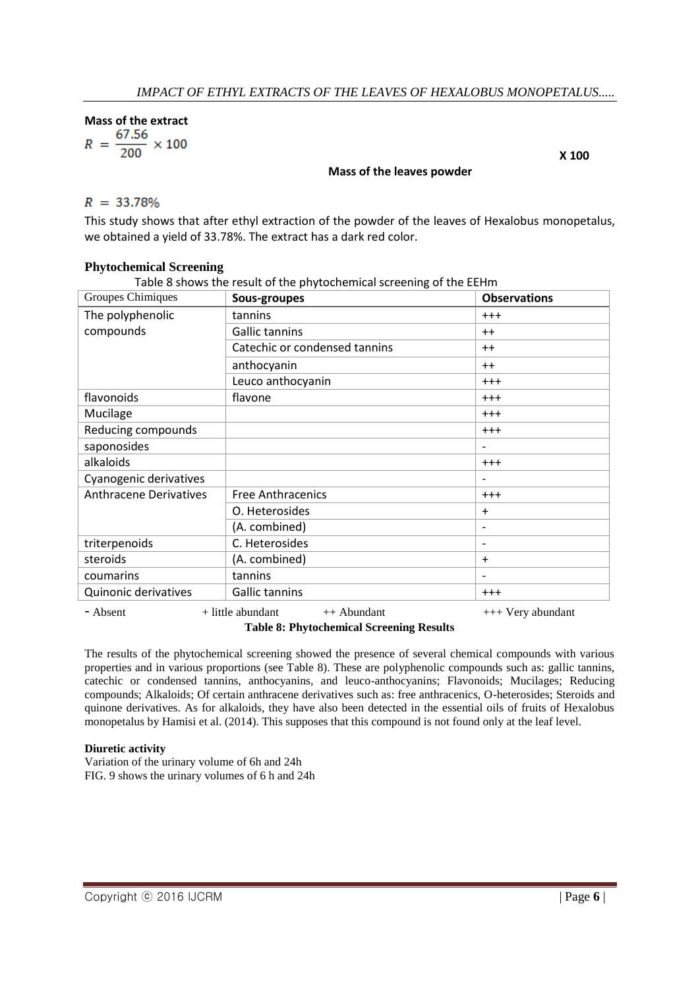Mass of the extract<br> $R = \frac{67.56}{200} \times 100$ 

# **Mass of the leaves powder**

 **X 100**

This study shows that after ethyl extraction of the powder of the leaves of Hexalobus monopetalus, we obtained a yield of 33.78%. The extract has a dark red color.

# **Phytochemical Screening**

Table 8 shows the result of the phytochemical screening of the EEHm

| Groupes Chimiques             | Sous-groupes                         | <b>Observations</b>          |
|-------------------------------|--------------------------------------|------------------------------|
| The polyphenolic              | tannins                              | $+ + +$                      |
| compounds                     | Gallic tannins                       | $++$                         |
|                               | Catechic or condensed tannins        | $++$                         |
|                               | anthocyanin                          | $++$                         |
|                               | Leuco anthocyanin                    | $+ + +$                      |
| flavonoids                    | flavone                              | $+ + +$                      |
| Mucilage                      |                                      | $^{+++}$                     |
| Reducing compounds            |                                      | $+ + +$                      |
| saponosides                   |                                      | $\qquad \qquad$              |
| alkaloids                     |                                      | $+ + +$                      |
| Cyanogenic derivatives        |                                      |                              |
| <b>Anthracene Derivatives</b> | <b>Free Anthracenics</b>             | $+ + +$                      |
|                               | O. Heterosides                       | $\ddot{}$                    |
|                               | (A. combined)                        | $\qquad \qquad \blacksquare$ |
| triterpenoids                 | C. Heterosides                       | $\qquad \qquad \blacksquare$ |
| steroids                      | (A. combined)                        | $\ddot{}$                    |
| coumarins                     | tannins                              |                              |
| Quinonic derivatives          | Gallic tannins                       | $^{+++}$                     |
| - Absent                      | $+$ little abundant<br>$++$ Abundant | $++$ Very abundant           |

**Table 8: Phytochemical Screening Results**

The results of the phytochemical screening showed the presence of several chemical compounds with various properties and in various proportions (see Table 8). These are polyphenolic compounds such as: gallic tannins, catechic or condensed tannins, anthocyanins, and leuco-anthocyanins; Flavonoids; Mucilages; Reducing compounds; Alkaloids; Of certain anthracene derivatives such as: free anthracenics, O-heterosides; Steroids and quinone derivatives. As for alkaloids, they have also been detected in the essential oils of fruits of Hexalobus monopetalus by Hamisi et al. (2014). This supposes that this compound is not found only at the leaf level.

# **Diuretic activity**

Variation of the urinary volume of 6h and 24h FIG. 9 shows the urinary volumes of 6 h and 24h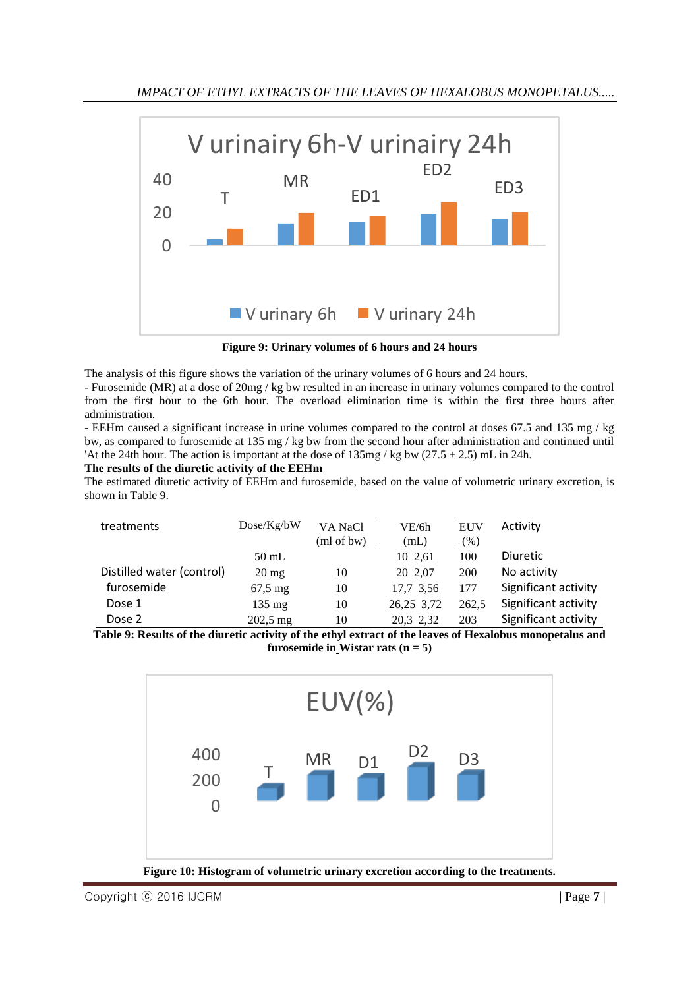

**Figure 9: Urinary volumes of 6 hours and 24 hours**

The analysis of this figure shows the variation of the urinary volumes of 6 hours and 24 hours.

- Furosemide (MR) at a dose of 20mg / kg bw resulted in an increase in urinary volumes compared to the control from the first hour to the 6th hour. The overload elimination time is within the first three hours after administration.

- EEHm caused a significant increase in urine volumes compared to the control at doses 67.5 and 135 mg / kg bw, as compared to furosemide at 135 mg / kg bw from the second hour after administration and continued until 'At the 24th hour. The action is important at the dose of  $135mg / kg$  bw (27.5  $\pm$  2.5) mL in 24h.

# **The results of the diuretic activity of the EEHm**

The estimated diuretic activity of EEHm and furosemide, based on the value of volumetric urinary excretion, is shown in Table 9.

| treatments                | Dose/Kg/bW            | VA NaCl<br>(ml of bw) | VE/6h<br>(mL) | <b>EUV</b><br>$\frac{9}{6}$ | Activity             |
|---------------------------|-----------------------|-----------------------|---------------|-----------------------------|----------------------|
|                           | $50$ mL               |                       | 10 2.61       | 100                         | <b>Diuretic</b>      |
| Distilled water (control) | $20 \text{ mg}$       | 10                    | 20 2.07       | <b>200</b>                  | No activity          |
| furosemide                | $67,5 \,\mathrm{mg}$  | 10                    | 17,7 3,56     | 177                         | Significant activity |
| Dose 1                    | $135 \text{ mg}$      | 10                    | 26,25 3,72    | 262.5                       | Significant activity |
| Dose 2                    | $202,5 \,\mathrm{mg}$ | 10                    | 20,3 2,32     | 203                         | Significant activity |

**Table 9: Results of the diuretic activity of the ethyl extract of the leaves of Hexalobus monopetalus and furosemide in Wistar rats**  $(n = 5)$ 



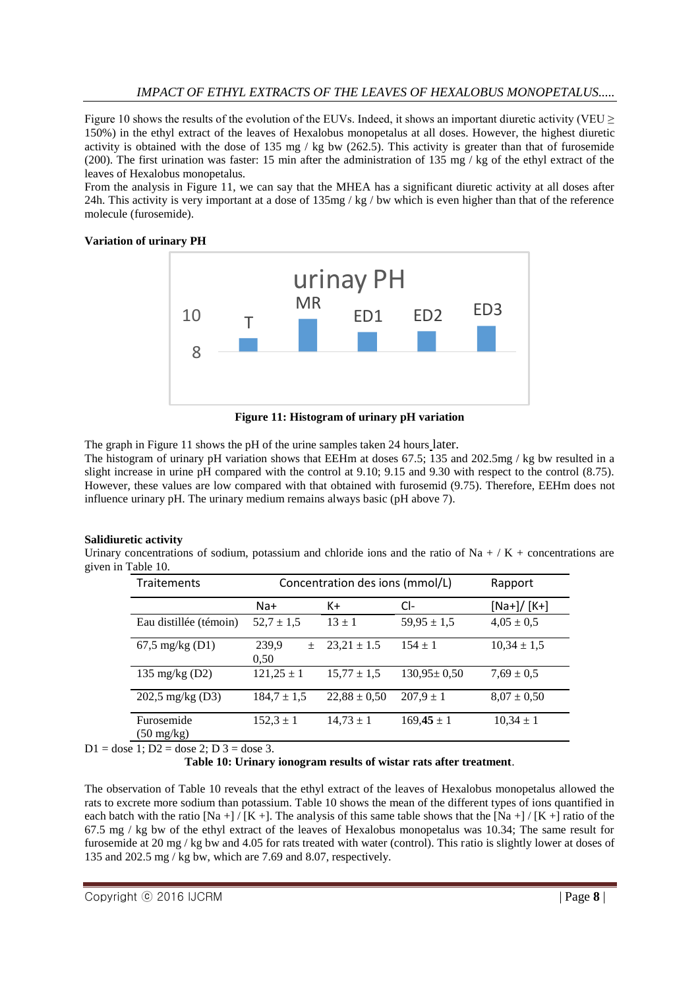Figure 10 shows the results of the evolution of the EUVs. Indeed, it shows an important diuretic activity (VEU  $\geq$ 150%) in the ethyl extract of the leaves of Hexalobus monopetalus at all doses. However, the highest diuretic activity is obtained with the dose of 135 mg / kg bw (262.5). This activity is greater than that of furosemide (200). The first urination was faster: 15 min after the administration of 135 mg / kg of the ethyl extract of the leaves of Hexalobus monopetalus.

From the analysis in Figure 11, we can say that the MHEA has a significant diuretic activity at all doses after 24h. This activity is very important at a dose of  $135mg / kg / bw$  which is even higher than that of the reference molecule (furosemide).

### **Variation of urinary PH**



**Figure 11: Histogram of urinary pH variation**

The graph in Figure 11 shows the pH of the urine samples taken 24 hours later. The histogram of urinary pH variation shows that EEHm at doses 67.5; 135 and 202.5mg / kg bw resulted in a slight increase in urine pH compared with the control at 9.10; 9.15 and 9.30 with respect to the control (8.75). However, these values are low compared with that obtained with furosemid (9.75). Therefore, EEHm does not influence urinary pH. The urinary medium remains always basic (pH above 7).

# **Salidiuretic activity**

Urinary concentrations of sodium, potassium and chloride ions and the ratio of Na + / K + concentrations are given in Table 10.

| <b>Traitements</b>                 | Concentration des ions (mmol/L) |                  |                   | Rapport         |
|------------------------------------|---------------------------------|------------------|-------------------|-----------------|
|                                    | $Na+$                           | $K+$             | CI-               | $[Na+] / [K+]$  |
| Eau distillée (témoin)             | $52.7 \pm 1.5$                  | $13 \pm 1$       | $59,95 \pm 1,5$   | $4.05 \pm 0.5$  |
| $67,5 \text{ mg/kg}$ (D1)          | 239,9<br>$\pm$<br>0.50          | $23,21 \pm 1.5$  | $154 \pm 1$       | $10.34 \pm 1.5$ |
| 135 mg/kg $(D2)$                   | $121,25 \pm 1$                  | $15,77 \pm 1,5$  | $130,95 \pm 0.50$ | $7.69 \pm 0.5$  |
| $202,5$ mg/kg (D3)                 | $184.7 \pm 1.5$                 | $22,88 \pm 0,50$ | $207.9 \pm 1$     | $8.07 \pm 0.50$ |
| Furosemide<br>$(50 \text{ mg/kg})$ | $152,3 \pm 1$                   | $14,73 \pm 1$    | $169,45 \pm 1$    | $10,34 \pm 1$   |

 $D1 =$  dose 1;  $D2 =$  dose 2;  $D3 =$  dose 3.

**Table 10: Urinary ionogram results of wistar rats after treatment**.

The observation of Table 10 reveals that the ethyl extract of the leaves of Hexalobus monopetalus allowed the rats to excrete more sodium than potassium. Table 10 shows the mean of the different types of ions quantified in each batch with the ratio  $[Na +]/[K +]$ . The analysis of this same table shows that the  $[Na +]/[K +]$  ratio of the 67.5 mg / kg bw of the ethyl extract of the leaves of Hexalobus monopetalus was 10.34; The same result for furosemide at 20 mg / kg bw and 4.05 for rats treated with water (control). This ratio is slightly lower at doses of 135 and 202.5 mg / kg bw, which are 7.69 and 8.07, respectively.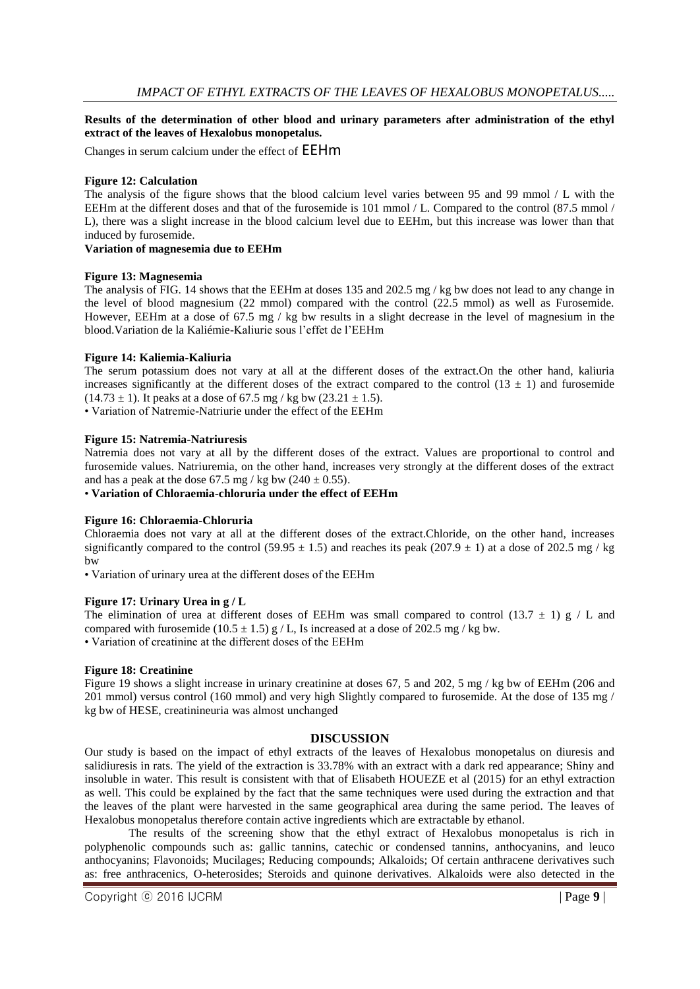# **Results of the determination of other blood and urinary parameters after administration of the ethyl extract of the leaves of Hexalobus monopetalus.**

Changes in serum calcium under the effect of EEHm

# **Figure 12: Calculation**

The analysis of the figure shows that the blood calcium level varies between 95 and 99 mmol / L with the EEHm at the different doses and that of the furosemide is 101 mmol / L. Compared to the control (87.5 mmol / L), there was a slight increase in the blood calcium level due to EEHm, but this increase was lower than that induced by furosemide.

#### **Variation of magnesemia due to EEHm**

### **Figure 13: Magnesemia**

The analysis of FIG. 14 shows that the EEHm at doses 135 and 202.5 mg / kg bw does not lead to any change in the level of blood magnesium (22 mmol) compared with the control (22.5 mmol) as well as Furosemide. However, EEHm at a dose of 67.5 mg / kg bw results in a slight decrease in the level of magnesium in the blood.Variation de la Kaliémie-Kaliurie sous l'effet de l'EEHm

### **Figure 14: Kaliemia-Kaliuria**

The serum potassium does not vary at all at the different doses of the extract.On the other hand, kaliuria increases significantly at the different doses of the extract compared to the control ( $13 \pm 1$ ) and furosemide  $(14.73 \pm 1)$ . It peaks at a dose of 67.5 mg / kg bw  $(23.21 \pm 1.5)$ .

• Variation of Natremie-Natriurie under the effect of the EEHm

### **Figure 15: Natremia-Natriuresis**

Natremia does not vary at all by the different doses of the extract. Values are proportional to control and furosemide values. Natriuremia, on the other hand, increases very strongly at the different doses of the extract and has a peak at the dose 67.5 mg / kg bw  $(240 \pm 0.55)$ .

• **Variation of Chloraemia-chloruria under the effect of EEHm**

#### **Figure 16: Chloraemia-Chloruria**

Chloraemia does not vary at all at the different doses of the extract.Chloride, on the other hand, increases significantly compared to the control (59.95  $\pm$  1.5) and reaches its peak (207.9  $\pm$  1) at a dose of 202.5 mg / kg bw

• Variation of urinary urea at the different doses of the EEHm

#### **Figure 17: Urinary Urea in g / L**

The elimination of urea at different doses of EEHm was small compared to control (13.7  $\pm$  1) g / L and compared with furosemide (10.5  $\pm$  1.5) g / L, Is increased at a dose of 202.5 mg / kg bw. • Variation of creatinine at the different doses of the EEHm

#### **Figure 18: Creatinine**

Figure 19 shows a slight increase in urinary creatinine at doses 67, 5 and 202, 5 mg / kg bw of EEHm (206 and 201 mmol) versus control (160 mmol) and very high Slightly compared to furosemide. At the dose of 135 mg / kg bw of HESE, creatinineuria was almost unchanged

#### **DISCUSSION**

Our study is based on the impact of ethyl extracts of the leaves of Hexalobus monopetalus on diuresis and salidiuresis in rats. The yield of the extraction is 33.78% with an extract with a dark red appearance; Shiny and insoluble in water. This result is consistent with that of Elisabeth HOUEZE et al (2015) for an ethyl extraction as well. This could be explained by the fact that the same techniques were used during the extraction and that the leaves of the plant were harvested in the same geographical area during the same period. The leaves of Hexalobus monopetalus therefore contain active ingredients which are extractable by ethanol.

 The results of the screening show that the ethyl extract of Hexalobus monopetalus is rich in polyphenolic compounds such as: gallic tannins, catechic or condensed tannins, anthocyanins, and leuco anthocyanins; Flavonoids; Mucilages; Reducing compounds; Alkaloids; Of certain anthracene derivatives such as: free anthracenics, O-heterosides; Steroids and quinone derivatives. Alkaloids were also detected in the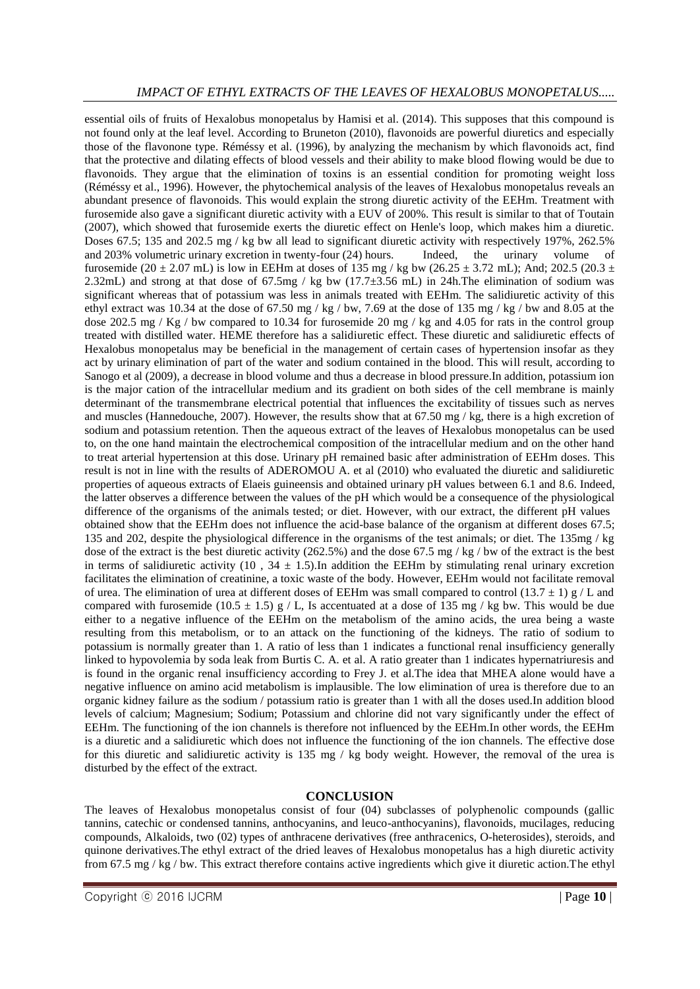# *IMPACT OF ETHYL EXTRACTS OF THE LEAVES OF HEXALOBUS MONOPETALUS.....*

essential oils of fruits of Hexalobus monopetalus by Hamisi et al. (2014). This supposes that this compound is not found only at the leaf level. According to Bruneton (2010), flavonoids are powerful diuretics and especially those of the flavonone type. Réméssy et al. (1996), by analyzing the mechanism by which flavonoids act, find that the protective and dilating effects of blood vessels and their ability to make blood flowing would be due to flavonoids. They argue that the elimination of toxins is an essential condition for promoting weight loss (Réméssy et al., 1996). However, the phytochemical analysis of the leaves of Hexalobus monopetalus reveals an abundant presence of flavonoids. This would explain the strong diuretic activity of the EEHm. Treatment with furosemide also gave a significant diuretic activity with a EUV of 200%. This result is similar to that of Toutain (2007), which showed that furosemide exerts the diuretic effect on Henle's loop, which makes him a diuretic. Doses 67.5; 135 and 202.5 mg / kg bw all lead to significant diuretic activity with respectively 197%, 262.5% and 203% volumetric urinary excretion in twenty-four (24) hours. Indeed, the urinary volume of furosemide (20 ± 2.07 mL) is low in EEHm at doses of 135 mg / kg bw (26.25 ± 3.72 mL); And; 202.5 (20.3 ± 2.32mL) and strong at that dose of 67.5mg / kg bw (17.7±3.56 mL) in 24h.The elimination of sodium was significant whereas that of potassium was less in animals treated with EEHm. The salidiuretic activity of this ethyl extract was 10.34 at the dose of 67.50 mg / kg / bw, 7.69 at the dose of 135 mg / kg / bw and 8.05 at the dose 202.5 mg / Kg / bw compared to 10.34 for furosemide 20 mg / kg and 4.05 for rats in the control group treated with distilled water. HEME therefore has a salidiuretic effect. These diuretic and salidiuretic effects of Hexalobus monopetalus may be beneficial in the management of certain cases of hypertension insofar as they act by urinary elimination of part of the water and sodium contained in the blood. This will result, according to Sanogo et al (2009), a decrease in blood volume and thus a decrease in blood pressure.In addition, potassium ion is the major cation of the intracellular medium and its gradient on both sides of the cell membrane is mainly determinant of the transmembrane electrical potential that influences the excitability of tissues such as nerves and muscles (Hannedouche, 2007). However, the results show that at 67.50 mg / kg, there is a high excretion of sodium and potassium retention. Then the aqueous extract of the leaves of Hexalobus monopetalus can be used to, on the one hand maintain the electrochemical composition of the intracellular medium and on the other hand to treat arterial hypertension at this dose. Urinary pH remained basic after administration of EEHm doses. This result is not in line with the results of ADEROMOU A. et al (2010) who evaluated the diuretic and salidiuretic properties of aqueous extracts of Elaeis guineensis and obtained urinary pH values between 6.1 and 8.6. Indeed, the latter observes a difference between the values of the pH which would be a consequence of the physiological difference of the organisms of the animals tested; or diet. However, with our extract, the different pH values obtained show that the EEHm does not influence the acid-base balance of the organism at different doses 67.5; 135 and 202, despite the physiological difference in the organisms of the test animals; or diet. The 135mg / kg dose of the extract is the best diuretic activity (262.5%) and the dose 67.5 mg / kg / bw of the extract is the best in terms of salidiuretic activity (10,  $34 \pm 1.5$ ). In addition the EEHm by stimulating renal urinary excretion facilitates the elimination of creatinine, a toxic waste of the body. However, EEHm would not facilitate removal of urea. The elimination of urea at different doses of EEHm was small compared to control (13.7  $\pm$  1) g / L and compared with furosemide (10.5  $\pm$  1.5) g / L, Is accentuated at a dose of 135 mg / kg bw. This would be due either to a negative influence of the EEHm on the metabolism of the amino acids, the urea being a waste resulting from this metabolism, or to an attack on the functioning of the kidneys. The ratio of sodium to potassium is normally greater than 1. A ratio of less than 1 indicates a functional renal insufficiency generally linked to hypovolemia by soda leak from Burtis C. A. et al. A ratio greater than 1 indicates hypernatriuresis and is found in the organic renal insufficiency according to Frey J. et al.The idea that MHEA alone would have a negative influence on amino acid metabolism is implausible. The low elimination of urea is therefore due to an organic kidney failure as the sodium / potassium ratio is greater than 1 with all the doses used.In addition blood levels of calcium; Magnesium; Sodium; Potassium and chlorine did not vary significantly under the effect of EEHm. The functioning of the ion channels is therefore not influenced by the EEHm.In other words, the EEHm is a diuretic and a salidiuretic which does not influence the functioning of the ion channels. The effective dose for this diuretic and salidiuretic activity is 135 mg / kg body weight. However, the removal of the urea is disturbed by the effect of the extract.

### **CONCLUSION**

The leaves of Hexalobus monopetalus consist of four (04) subclasses of polyphenolic compounds (gallic tannins, catechic or condensed tannins, anthocyanins, and leuco-anthocyanins), flavonoids, mucilages, reducing compounds, Alkaloids, two (02) types of anthracene derivatives (free anthracenics, O-heterosides), steroids, and quinone derivatives.The ethyl extract of the dried leaves of Hexalobus monopetalus has a high diuretic activity from 67.5 mg / kg / bw. This extract therefore contains active ingredients which give it diuretic action.The ethyl